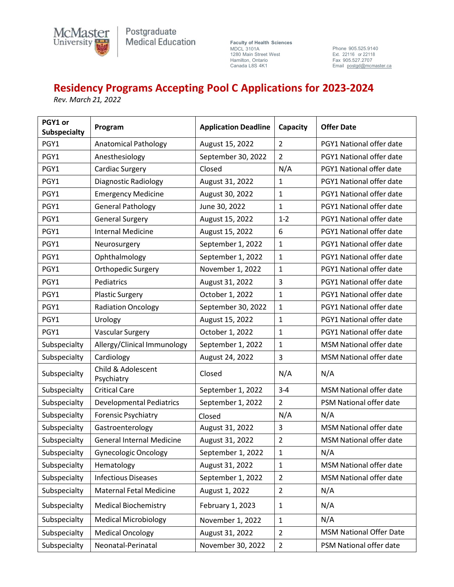

Postgraduate Medical Education

**Faculty of Health Sciences** MDCL 3101A MDCL 3101A<br>1280 Main Street West<br>Hamilton, Ontario Hamilton, Ontario Canada L8S 4K1

Phone 905.525.9140 Ext. 22116 or 22118 Fax 905.527.2707 Email [postgd@mcmaster.ca](mailto:postgd@mcmaster.ca)

## **Residency Programs Accepting Pool C Applications for 2023-2024**

*Rev. March 21, 2022* 

| PGY1 or<br><b>Subspecialty</b> | Program                          | <b>Application Deadline</b>         | Capacity       | <b>Offer Date</b>              |  |
|--------------------------------|----------------------------------|-------------------------------------|----------------|--------------------------------|--|
| PGY1                           | <b>Anatomical Pathology</b>      | August 15, 2022                     | $\overline{2}$ | PGY1 National offer date       |  |
| PGY1                           | Anesthesiology                   | September 30, 2022                  | $\overline{2}$ | PGY1 National offer date       |  |
| PGY1                           | <b>Cardiac Surgery</b>           | Closed                              | N/A            | PGY1 National offer date       |  |
| PGY1                           | Diagnostic Radiology             | August 31, 2022                     | $\mathbf{1}$   | PGY1 National offer date       |  |
| PGY1                           | <b>Emergency Medicine</b>        | August 30, 2022                     | $\mathbf{1}$   | PGY1 National offer date       |  |
| PGY1                           | <b>General Pathology</b>         | June 30, 2022                       | $\mathbf{1}$   | PGY1 National offer date       |  |
| PGY1                           | <b>General Surgery</b>           | August 15, 2022                     | $1-2$          | PGY1 National offer date       |  |
| PGY1                           | <b>Internal Medicine</b>         | August 15, 2022                     | 6              | PGY1 National offer date       |  |
| PGY1                           | Neurosurgery                     | September 1, 2022                   | $\mathbf{1}$   | PGY1 National offer date       |  |
| PGY1                           | Ophthalmology                    | September 1, 2022                   | $\mathbf{1}$   | PGY1 National offer date       |  |
| PGY1                           | Orthopedic Surgery               | November 1, 2022                    | $\mathbf{1}$   | PGY1 National offer date       |  |
| PGY1                           | Pediatrics                       | August 31, 2022                     | 3              | PGY1 National offer date       |  |
| PGY1                           | <b>Plastic Surgery</b>           | October 1, 2022                     | $\mathbf{1}$   | PGY1 National offer date       |  |
| PGY1                           | <b>Radiation Oncology</b>        | September 30, 2022                  | $\mathbf{1}$   | PGY1 National offer date       |  |
| PGY1                           | Urology                          | August 15, 2022                     | $\mathbf{1}$   | PGY1 National offer date       |  |
| PGY1                           | <b>Vascular Surgery</b>          | October 1, 2022                     | $\mathbf{1}$   | PGY1 National offer date       |  |
| Subspecialty                   | Allergy/Clinical Immunology      | September 1, 2022                   | $\mathbf{1}$   | <b>MSM National offer date</b> |  |
| Subspecialty                   | Cardiology                       | August 24, 2022                     | 3              | <b>MSM National offer date</b> |  |
| Subspecialty                   | Child & Adolescent<br>Psychiatry | Closed                              | N/A            | N/A                            |  |
| Subspecialty                   | <b>Critical Care</b>             | September 1, 2022                   | $3-4$          | MSM National offer date        |  |
| Subspecialty                   | <b>Developmental Pediatrics</b>  | September 1, 2022<br>$\overline{2}$ |                | PSM National offer date        |  |
| Subspecialty                   | <b>Forensic Psychiatry</b>       | Closed                              | N/A            | N/A                            |  |
| Subspecialty                   | Gastroenterology                 | August 31, 2022                     | 3              | <b>MSM National offer date</b> |  |
| Subspecialty                   | <b>General Internal Medicine</b> | August 31, 2022                     | 2              | <b>MSM National offer date</b> |  |
| Subspecialty                   | <b>Gynecologic Oncology</b>      | September 1, 2022                   | 1              | N/A                            |  |
| Subspecialty                   | Hematology                       | August 31, 2022                     | 1              | MSM National offer date        |  |
| Subspecialty                   | <b>Infectious Diseases</b>       | September 1, 2022                   | $\overline{2}$ | <b>MSM National offer date</b> |  |
| Subspecialty                   | <b>Maternal Fetal Medicine</b>   | August 1, 2022                      | $\overline{2}$ | N/A                            |  |
| Subspecialty                   | <b>Medical Biochemistry</b>      | February 1, 2023                    | $\mathbf{1}$   | N/A                            |  |
| Subspecialty                   | <b>Medical Microbiology</b>      | November 1, 2022                    | $1\,$          | N/A                            |  |
| Subspecialty                   | <b>Medical Oncology</b>          | August 31, 2022                     | $\overline{2}$ | <b>MSM National Offer Date</b> |  |
| Subspecialty                   | Neonatal-Perinatal               | November 30, 2022                   | $\overline{2}$ | PSM National offer date        |  |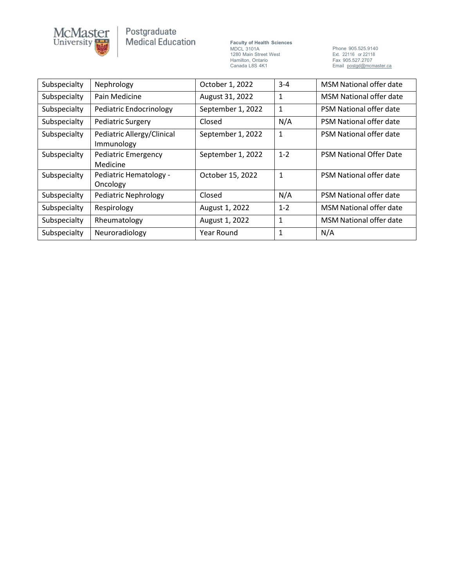

## Postgraduate<br>Medical Education

**Faculty of Health Sciences** MDCL 3101A 1280 Main Street West Hamilton, Ontario Canada L8S 4K1

Phone 905.525.9140 Ext. 22116 or 22118 Fax 905.527.2707<br>Email <u>[postgd@mcmaster.ca](mailto:postgd@mcmaster.ca)</u>

| Subspecialty | Nephrology                               | October 1, 2022   | $3 - 4$                        | MSM National offer date        |
|--------------|------------------------------------------|-------------------|--------------------------------|--------------------------------|
| Subspecialty | Pain Medicine                            | August 31, 2022   | 1                              | MSM National offer date        |
| Subspecialty | Pediatric Endocrinology                  | September 1, 2022 | $\mathbf{1}$                   | PSM National offer date        |
| Subspecialty | <b>Pediatric Surgery</b>                 | Closed            | N/A<br>PSM National offer date |                                |
| Subspecialty | Pediatric Allergy/Clinical<br>Immunology | September 1, 2022 | 1                              | <b>PSM National offer date</b> |
| Subspecialty | <b>Pediatric Emergency</b><br>Medicine   | September 1, 2022 | $1 - 2$                        | <b>PSM National Offer Date</b> |
| Subspecialty | Pediatric Hematology -<br>Oncology       | October 15, 2022  | 1                              | PSM National offer date        |
| Subspecialty | <b>Pediatric Nephrology</b>              | Closed            | N/A                            | PSM National offer date        |
| Subspecialty | Respirology                              | August 1, 2022    | $1 - 2$                        | <b>MSM National offer date</b> |
| Subspecialty | Rheumatology                             | August 1, 2022    | 1                              | MSM National offer date        |
| Subspecialty | Neuroradiology                           | Year Round        |                                | N/A                            |